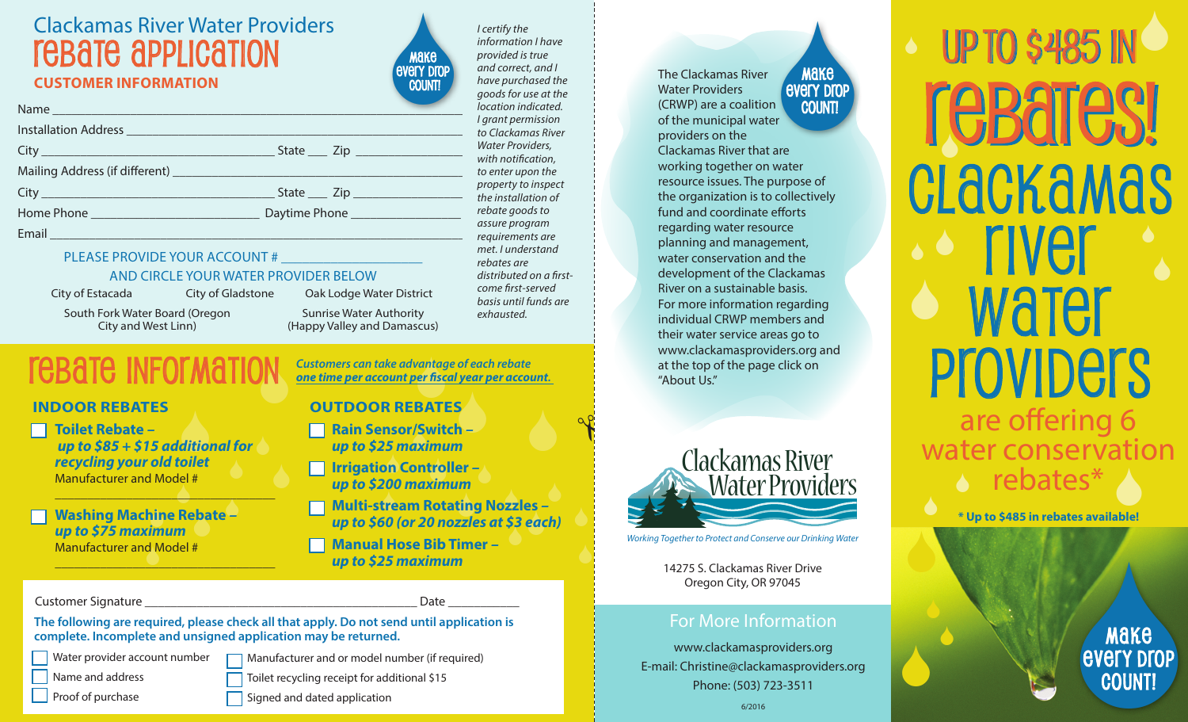# Clackamas River Water Providers rebate application **CUSTOMER INFORMATION**

Installation Address \_\_\_\_\_\_\_\_\_\_\_\_\_\_\_\_\_\_\_\_\_\_\_\_\_\_\_\_\_\_\_\_\_\_\_\_\_\_\_\_\_\_\_\_\_\_\_\_\_\_\_\_

Name and the set of the set of the set of the set of the set of the set of the set of the set of the set of the



*I certify the information I have provided is true and correct, and I have purchased the goods for use at the location indicated. I grant permission to Clackamas River Water Providers, with notification, to enter upon the property to inspect the installation of rebate goods to assure program requirements are met. I understand rebates are distributed on a firstcome first-served basis until funds are exhausted.*

Make<br>
every Drop<br>
er<br>
care<br>
external and a set of the COUNT! Make every drop count! The Clackamas River Water Providers (CRWP) are a coalition of the municipal water providers on the Clackamas River that are working together on water resource issues. The purpose of the organization is to collectively fund and coordinate efforts regarding water resource planning and management, water conservation and the development of the Clackamas River on a sustainable basis. For more information regarding individual CRWP members and their water service areas go to www.clackamasproviders.org and at the top of the page click on "About Us."



14275 S. Clackamas River Drive Oregon City, OR 97045

## For More Information

www.clackamasproviders.org E-mail: Christine@clackamasproviders.org Phone: (503) 723-3511

# up to \$485 in S up to \$485 in S re**Bares!** S <sup>S</sup> S rebates\* Clackamas  $\cdot$  s river **water Providers** are offering 6 water conservation

**\* Up to \$485 in rebates available!**

 $\bullet$ 

S

 $\bullet$ 

MAKE<br>EVETY DTOP<br>COUNT! every drop count!

## PLEASE PROVIDE YOUR ACCOUNT #

#### AND CIRCLE YOUR WATER PROVIDER BELOW

City \_\_\_\_\_\_\_\_\_\_\_\_\_\_\_\_\_\_\_\_\_\_\_\_\_\_\_\_\_\_\_\_\_\_\_\_ State \_\_\_ Zip \_\_\_\_\_\_\_\_\_\_\_\_\_\_\_\_\_ Mailing Address (if different) \_\_\_\_\_\_\_\_\_\_\_\_\_\_\_\_\_\_\_\_\_\_\_\_\_\_\_\_\_\_\_\_\_\_\_\_\_\_\_\_\_\_\_\_\_ City \_\_\_\_\_\_\_\_\_\_\_\_\_\_\_\_\_\_\_\_\_\_\_\_\_\_\_\_\_\_\_\_\_\_\_\_ State \_\_\_ Zip \_\_\_\_\_\_\_\_\_\_\_\_\_\_\_\_\_ Home Phone \_\_\_\_\_\_\_\_\_\_\_\_\_\_\_\_\_\_\_\_\_\_\_\_\_\_ Daytime Phone \_\_\_\_\_\_\_\_\_\_\_\_\_\_\_\_\_ Email \_\_\_\_\_\_\_\_\_\_\_\_\_\_\_\_\_\_\_\_\_\_\_\_\_\_\_\_\_\_\_\_\_\_\_\_\_\_\_\_\_\_\_\_\_\_\_\_\_\_\_\_\_\_\_\_\_\_\_\_\_\_\_\_

City of Estacada

South Fork Water Board (Oregon City and West Linn)

Sunrise Water Authority City of Gladstone Oak Lodge Water District

(Happy Valley and Damascus)

DN<br>C rebate information

### **INDOOR REBATES**

S  *up to \$85 + \$15 additional for*   $\stackrel{0}{\rightarrow}$ **Toilet Rebate** *– recycling your old toilet* Manufacturer and Model #

\_\_\_\_\_\_\_\_\_\_\_\_\_\_\_\_\_\_\_\_\_\_\_\_\_\_\_\_\_\_\_\_\_\_

\_\_\_\_\_\_\_\_\_\_\_\_\_\_\_\_\_\_\_\_\_\_\_\_\_\_\_\_\_\_\_\_\_\_

S Washing Machine Rebate –<br>*up to \$75 maximum* Manufacturer and Model #<br>
<u>Nanufacturer</u> *up to \$75 maximum*

#### Customer Signature \_\_\_\_\_\_\_\_\_\_\_\_\_\_\_\_\_\_\_\_\_\_\_\_\_\_\_\_\_\_\_\_\_\_\_\_\_\_\_\_\_\_ Date \_\_\_\_\_\_\_\_\_\_\_

**The following are required, please check all that apply. Do not send until application is complete. Incomplete and unsigned application may be returned.** 

Water provider account number Name and address Manufacturer and or model number (if required) Toilet recycling receipt for additional \$15 Signed and dated application

**Proof of purchase** 

**Manual Hose Bib Timer** *– up to \$25 maximum*

**Customers can take advantage of each rebate<br>
<u>OUTDOOR RERATES</u>** *one time per account per fiscal year per account.* 

### **OUTDOOR REBATES**

S *up to \$25 maximum* **Rain Sensor/Switch – →**<br>Rain Sensor/Switch – →

*.*<br>Irrigation Controller –<br>up to \$200 maximum *up to \$200 maximum*

S S S **Multi-stream Rotating Nozzles** *–*  S up to \$60 (or 20 nozzles at \$3 each)

 $\bullet$ 

 $\overline{\bigcirc}$ 

✃